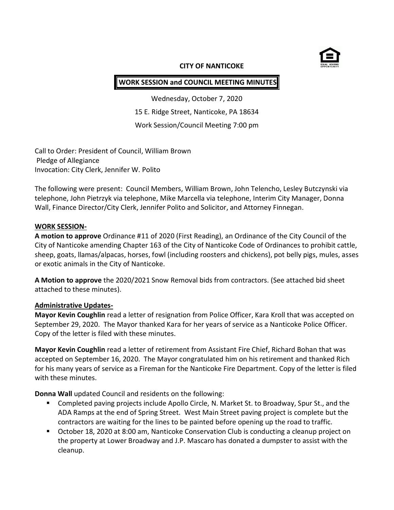

#### **CITY OF NANTICOKE**

# **WORK SESSION and COUNCIL MEETING MINUTES**

Wednesday, October 7, 2020 15 E. Ridge Street, Nanticoke, PA 18634 Work Session/Council Meeting 7:00 pm

Call to Order: President of Council, William Brown Pledge of Allegiance Invocation: City Clerk, Jennifer W. Polito

The following were present: Council Members, William Brown, John Telencho, Lesley Butczynski via telephone, John Pietrzyk via telephone, Mike Marcella via telephone, Interim City Manager, Donna Wall, Finance Director/City Clerk, Jennifer Polito and Solicitor, and Attorney Finnegan.

### **WORK SESSION-**

**A motion to approve** Ordinance #11 of 2020 (First Reading), an Ordinance of the City Council of the City of Nanticoke amending Chapter 163 of the City of Nanticoke Code of Ordinances to prohibit cattle, sheep, goats, llamas/alpacas, horses, fowl (including roosters and chickens), pot belly pigs, mules, asses or exotic animals in the City of Nanticoke.

**A Motion to approve** the 2020/2021 Snow Removal bids from contractors. (See attached bid sheet attached to these minutes).

### **Administrative Updates-**

**Mayor Kevin Coughlin** read a letter of resignation from Police Officer, Kara Kroll that was accepted on September 29, 2020. The Mayor thanked Kara for her years of service as a Nanticoke Police Officer. Copy of the letter is filed with these minutes.

**Mayor Kevin Coughlin** read a letter of retirement from Assistant Fire Chief, Richard Bohan that was accepted on September 16, 2020. The Mayor congratulated him on his retirement and thanked Rich for his many years of service as a Fireman for the Nanticoke Fire Department. Copy of the letter is filed with these minutes.

**Donna Wall** updated Council and residents on the following:

- **EXP** Completed paving projects include Apollo Circle, N. Market St. to Broadway, Spur St., and the ADA Ramps at the end of Spring Street. West Main Street paving project is complete but the contractors are waiting for the lines to be painted before opening up the road to traffic.
- October 18, 2020 at 8:00 am, Nanticoke Conservation Club is conducting a cleanup project on the property at Lower Broadway and J.P. Mascaro has donated a dumpster to assist with the cleanup.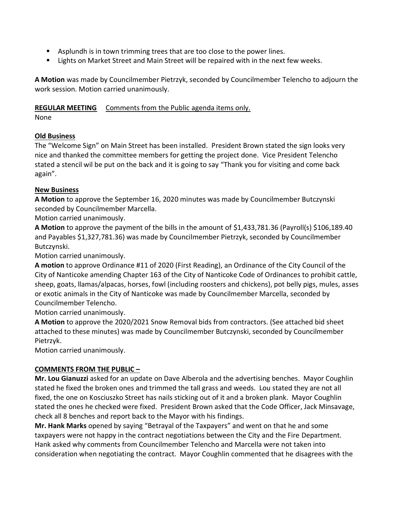- Asplundh is in town trimming trees that are too close to the power lines.
- **EXECT A.** Lights on Market Street and Main Street will be repaired with in the next few weeks.

**A Motion** was made by Councilmember Pietrzyk, seconded by Councilmember Telencho to adjourn the work session. Motion carried unanimously.

## **REGULAR MEETING** Comments from the Public agenda items only.

None

## **Old Business**

The "Welcome Sign" on Main Street has been installed. President Brown stated the sign looks very nice and thanked the committee members for getting the project done. Vice President Telencho stated a stencil wil be put on the back and it is going to say "Thank you for visiting and come back again".

# **New Business**

**A Motion** to approve the September 16, 2020 minutes was made by Councilmember Butczynski seconded by Councilmember Marcella.

Motion carried unanimously.

**A Motion** to approve the payment of the bills in the amount of \$1,433,781.36 (Payroll(s) \$106,189.40 and Payables \$1,327,781.36) was made by Councilmember Pietrzyk, seconded by Councilmember Butczynski.

Motion carried unanimously.

**A motion** to approve Ordinance #11 of 2020 (First Reading), an Ordinance of the City Council of the City of Nanticoke amending Chapter 163 of the City of Nanticoke Code of Ordinances to prohibit cattle, sheep, goats, llamas/alpacas, horses, fowl (including roosters and chickens), pot belly pigs, mules, asses or exotic animals in the City of Nanticoke was made by Councilmember Marcella, seconded by Councilmember Telencho.

Motion carried unanimously.

**A Motion** to approve the 2020/2021 Snow Removal bids from contractors. (See attached bid sheet attached to these minutes) was made by Councilmember Butczynski, seconded by Councilmember Pietrzyk.

Motion carried unanimously.

## **COMMENTS FROM THE PUBLIC –**

**Mr. Lou Gianuzzi** asked for an update on Dave Alberola and the advertising benches. Mayor Coughlin stated he fixed the broken ones and trimmed the tall grass and weeds. Lou stated they are not all fixed, the one on Kosciuszko Street has nails sticking out of it and a broken plank. Mayor Coughlin stated the ones he checked were fixed. President Brown asked that the Code Officer, Jack Minsavage, check all 8 benches and report back to the Mayor with his findings.

**Mr. Hank Marks** opened by saying "Betrayal of the Taxpayers" and went on that he and some taxpayers were not happy in the contract negotiations between the City and the Fire Department. Hank asked why comments from Councilmember Telencho and Marcella were not taken into consideration when negotiating the contract. Mayor Coughlin commented that he disagrees with the